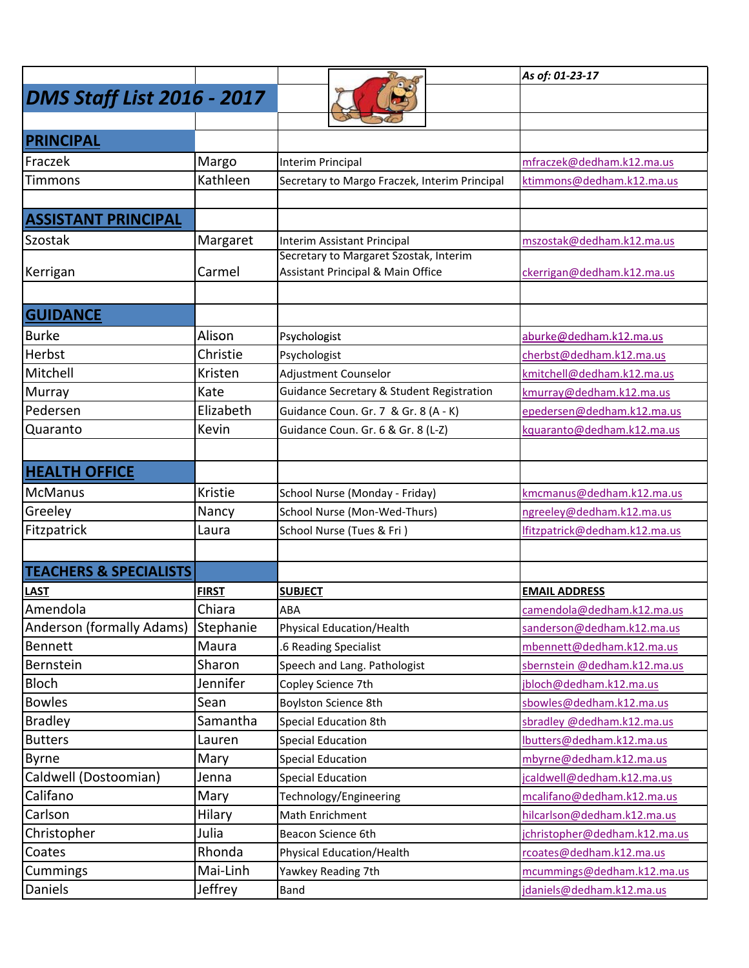|                                   |              |                                                      | As of: 01-23-17               |
|-----------------------------------|--------------|------------------------------------------------------|-------------------------------|
| <b>DMS Staff List 2016 - 2017</b> |              |                                                      |                               |
|                                   |              |                                                      |                               |
| PRINCIPAL                         |              |                                                      |                               |
| Fraczek                           | Margo        | Interim Principal                                    | mfraczek@dedham.k12.ma.us     |
| <b>Timmons</b>                    | Kathleen     | Secretary to Margo Fraczek, Interim Principal        | ktimmons@dedham.k12.ma.us     |
|                                   |              |                                                      |                               |
| <b>ASSISTANT PRINCIPAL</b>        |              |                                                      |                               |
| Szostak                           | Margaret     | Interim Assistant Principal                          | mszostak@dedham.k12.ma.us     |
|                                   |              | Secretary to Margaret Szostak, Interim               |                               |
| Kerrigan                          | Carmel       | Assistant Principal & Main Office                    | ckerrigan@dedham.k12.ma.us    |
|                                   |              |                                                      |                               |
| <b>GUIDANCE</b>                   |              |                                                      |                               |
| <b>Burke</b>                      | Alison       | Psychologist                                         | aburke@dedham.k12.ma.us       |
| Herbst                            | Christie     | Psychologist                                         | cherbst@dedham.k12.ma.us      |
| Mitchell                          | Kristen      | Adjustment Counselor                                 | kmitchell@dedham.k12.ma.us    |
| <b>Murray</b>                     | Kate         | <b>Guidance Secretary &amp; Student Registration</b> | kmurray@dedham.k12.ma.us      |
| Pedersen                          | Elizabeth    | Guidance Coun. Gr. 7 & Gr. 8 (A - K)                 | epedersen@dedham.k12.ma.us    |
| Quaranto                          | Kevin        | Guidance Coun. Gr. 6 & Gr. 8 (L-Z)                   | kquaranto@dedham.k12.ma.us    |
|                                   |              |                                                      |                               |
| <b>HEALTH OFFICE</b>              |              |                                                      |                               |
| <b>McManus</b>                    | Kristie      | School Nurse (Monday - Friday)                       | kmcmanus@dedham.k12.ma.us     |
| Greeley                           | Nancy        | School Nurse (Mon-Wed-Thurs)                         | ngreeley@dedham.k12.ma.us     |
| Fitzpatrick                       | Laura        | School Nurse (Tues & Fri)                            | lfitzpatrick@dedham.k12.ma.us |
|                                   |              |                                                      |                               |
| <b>TEACHERS &amp; SPECIALISTS</b> |              |                                                      |                               |
| <b>LAST</b>                       | <b>FIRST</b> | <b>SUBJECT</b>                                       | <b>EMAIL ADDRESS</b>          |
| Amendola                          | Chiara       | ABA                                                  | camendola@dedham.k12.ma.us    |
| Anderson (formally Adams)         | Stephanie    | <b>Physical Education/Health</b>                     | sanderson@dedham.k12.ma.us    |
| <b>Bennett</b>                    | Maura        | .6 Reading Specialist                                | mbennett@dedham.k12.ma.us     |
| Bernstein                         | Sharon       | Speech and Lang. Pathologist                         | sbernstein @dedham.k12.ma.us  |
| <b>Bloch</b>                      | Jennifer     | Copley Science 7th                                   | jbloch@dedham.k12.ma.us       |
| <b>Bowles</b>                     | Sean         | Boylston Science 8th                                 | sbowles@dedham.k12.ma.us      |
| <b>Bradley</b>                    | Samantha     | <b>Special Education 8th</b>                         | sbradley @dedham.k12.ma.us    |
| <b>Butters</b>                    | Lauren       | <b>Special Education</b>                             | lbutters@dedham.k12.ma.us     |
| <b>Byrne</b>                      | Mary         | <b>Special Education</b>                             | mbyrne@dedham.k12.ma.us       |
| Caldwell (Dostoomian)             | Jenna        | <b>Special Education</b>                             | jcaldwell@dedham.k12.ma.us    |
| Califano                          | Mary         | Technology/Engineering                               | mcalifano@dedham.k12.ma.us    |
| Carlson                           | Hilary       | Math Enrichment                                      | hilcarlson@dedham.k12.ma.us   |
| Christopher                       | Julia        | Beacon Science 6th                                   | jchristopher@dedham.k12.ma.us |
| Coates                            | Rhonda       | <b>Physical Education/Health</b>                     | rcoates@dedham.k12.ma.us      |
| Cummings                          | Mai-Linh     | Yawkey Reading 7th                                   | mcummings@dedham.k12.ma.us    |
| Daniels                           | Jeffrey      | Band                                                 | jdaniels@dedham.k12.ma.us     |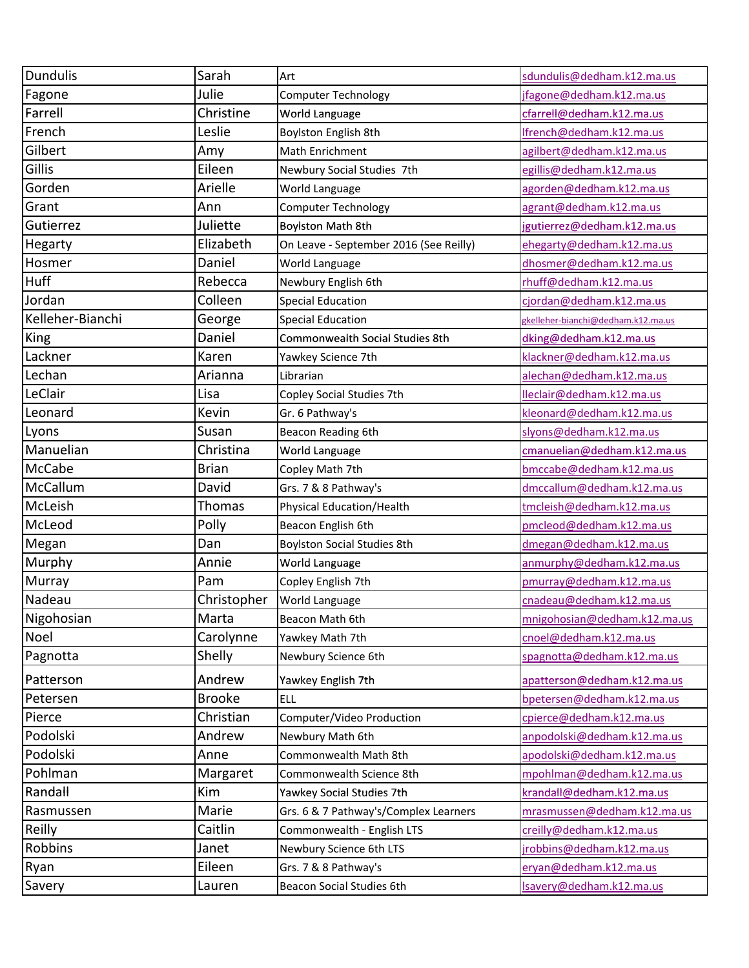| <b>Dundulis</b>  | Sarah         | Art                                    | sdundulis@dedham.k12.ma.us         |
|------------------|---------------|----------------------------------------|------------------------------------|
| Fagone           | Julie         | Computer Technology                    | jfagone@dedham.k12.ma.us           |
| Farrell          | Christine     | World Language                         | cfarrell@dedham.k12.ma.us          |
| French           | Leslie        | Boylston English 8th                   | Ifrench@dedham.k12.ma.us           |
| Gilbert          | Amy           | Math Enrichment                        | agilbert@dedham.k12.ma.us          |
| Gillis           | Eileen        | Newbury Social Studies 7th             | egillis@dedham.k12.ma.us           |
| Gorden           | Arielle       | World Language                         | agorden@dedham.k12.ma.us           |
| Grant            | Ann           | Computer Technology                    | agrant@dedham.k12.ma.us            |
| Gutierrez        | Juliette      | Boylston Math 8th                      | jgutierrez@dedham.k12.ma.us        |
| <b>Hegarty</b>   | Elizabeth     | On Leave - September 2016 (See Reilly) | ehegarty@dedham.k12.ma.us          |
| Hosmer           | Daniel        | World Language                         | dhosmer@dedham.k12.ma.us           |
| Huff             | Rebecca       | Newbury English 6th                    | rhuff@dedham.k12.ma.us             |
| Jordan           | Colleen       | <b>Special Education</b>               | cjordan@dedham.k12.ma.us           |
| Kelleher-Bianchi | George        | <b>Special Education</b>               | gkelleher-bianchi@dedham.k12.ma.us |
| King             | Daniel        | Commonwealth Social Studies 8th        | dking@dedham.k12.ma.us             |
| Lackner          | Karen         | Yawkey Science 7th                     | klackner@dedham.k12.ma.us          |
| Lechan           | Arianna       | Librarian                              | alechan@dedham.k12.ma.us           |
| LeClair          | Lisa          | Copley Social Studies 7th              | lleclair@dedham.k12.ma.us          |
| Leonard          | Kevin         | Gr. 6 Pathway's                        | kleonard@dedham.k12.ma.us          |
| Lyons            | Susan         | Beacon Reading 6th                     | slyons@dedham.k12.ma.us            |
| Manuelian        | Christina     | World Language                         | cmanuelian@dedham.k12.ma.us        |
| <b>McCabe</b>    | <b>Brian</b>  | Copley Math 7th                        | bmccabe@dedham.k12.ma.us           |
| McCallum         | David         | Grs. 7 & 8 Pathway's                   | dmccallum@dedham.k12.ma.us         |
| McLeish          | Thomas        | <b>Physical Education/Health</b>       | tmcleish@dedham.k12.ma.us          |
| McLeod           | Polly         | Beacon English 6th                     | pmcleod@dedham.k12.ma.us           |
| Megan            | Dan           | <b>Boylston Social Studies 8th</b>     | dmegan@dedham.k12.ma.us            |
| Murphy           | Annie         | World Language                         | anmurphy@dedham.k12.ma.us          |
| Murray           | Pam           | Copley English 7th                     | pmurray@dedham.k12.ma.us           |
| Nadeau           | Christopher   | World Language                         | cnadeau@dedham.k12.ma.us           |
| Nigohosian       | Marta         | Beacon Math 6th                        | mnigohosian@dedham.k12.ma.us       |
| Noel             | Carolynne     | Yawkey Math 7th                        | cnoel@dedham.k12.ma.us             |
| Pagnotta         | Shelly        | Newbury Science 6th                    | spagnotta@dedham.k12.ma.us         |
| Patterson        | Andrew        | Yawkey English 7th                     | apatterson@dedham.k12.ma.us        |
| Petersen         | <b>Brooke</b> | <b>ELL</b>                             | bpetersen@dedham.k12.ma.us         |
| Pierce           | Christian     | Computer/Video Production              | cpierce@dedham.k12.ma.us           |
| Podolski         | Andrew        | Newbury Math 6th                       | anpodolski@dedham.k12.ma.us        |
| Podolski         | Anne          | Commonwealth Math 8th                  | apodolski@dedham.k12.ma.us         |
| Pohlman          | Margaret      | Commonwealth Science 8th               | mpohlman@dedham.k12.ma.us          |
| Randall          | Kim           | Yawkey Social Studies 7th              | krandall@dedham.k12.ma.us          |
| Rasmussen        | Marie         | Grs. 6 & 7 Pathway's/Complex Learners  | mrasmussen@dedham.k12.ma.us        |
| <b>Reilly</b>    | Caitlin       | Commonwealth - English LTS             | creilly@dedham.k12.ma.us           |
| Robbins          | Janet         | Newbury Science 6th LTS                | jrobbins@dedham.k12.ma.us          |
| Ryan             | Eileen        | Grs. 7 & 8 Pathway's                   | eryan@dedham.k12.ma.us             |
| Savery           | Lauren        | Beacon Social Studies 6th              | Isavery@dedham.k12.ma.us           |